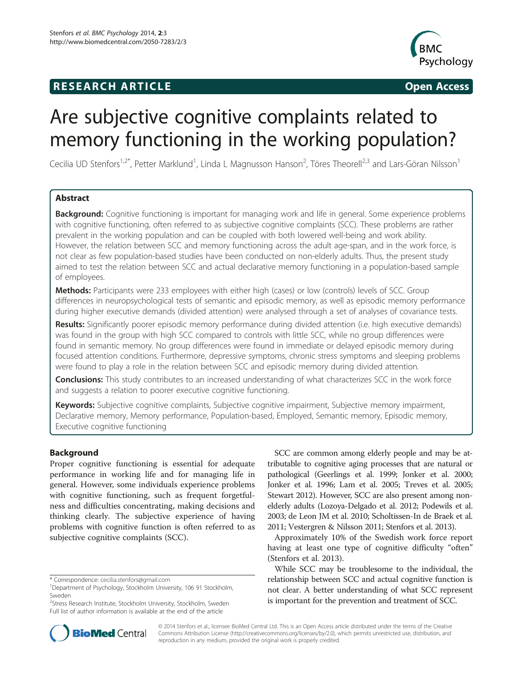## **RESEARCH ARTICLE Example 2014 CONSIDERING CONSIDERING CONSIDERING CONSIDERING CONSIDERING CONSIDERING CONSIDERING CONSIDERING CONSIDERING CONSIDERING CONSIDERING CONSIDERING CONSIDERING CONSIDERING CONSIDERING CONSIDE**



# Are subjective cognitive complaints related to memory functioning in the working population?

Cecilia UD Stenfors<sup>1,2\*</sup>, Petter Marklund<sup>1</sup>, Linda L Magnusson Hanson<sup>2</sup>, Töres Theorell<sup>2,3</sup> and Lars-Göran Nilsson<sup>1</sup>

## Abstract

**Background:** Cognitive functioning is important for managing work and life in general. Some experience problems with cognitive functioning, often referred to as subjective cognitive complaints (SCC). These problems are rather prevalent in the working population and can be coupled with both lowered well-being and work ability. However, the relation between SCC and memory functioning across the adult age-span, and in the work force, is not clear as few population-based studies have been conducted on non-elderly adults. Thus, the present study aimed to test the relation between SCC and actual declarative memory functioning in a population-based sample of employees.

Methods: Participants were 233 employees with either high (cases) or low (controls) levels of SCC. Group differences in neuropsychological tests of semantic and episodic memory, as well as episodic memory performance during higher executive demands (divided attention) were analysed through a set of analyses of covariance tests.

Results: Significantly poorer episodic memory performance during divided attention (i.e. high executive demands) was found in the group with high SCC compared to controls with little SCC, while no group differences were found in semantic memory. No group differences were found in immediate or delayed episodic memory during focused attention conditions. Furthermore, depressive symptoms, chronic stress symptoms and sleeping problems were found to play a role in the relation between SCC and episodic memory during divided attention.

Conclusions: This study contributes to an increased understanding of what characterizes SCC in the work force and suggests a relation to poorer executive cognitive functioning.

Keywords: Subjective cognitive complaints, Subjective cognitive impairment, Subjective memory impairment, Declarative memory, Memory performance, Population-based, Employed, Semantic memory, Episodic memory, Executive cognitive functioning

## Background

Proper cognitive functioning is essential for adequate performance in working life and for managing life in general. However, some individuals experience problems with cognitive functioning, such as frequent forgetfulness and difficulties concentrating, making decisions and thinking clearly. The subjective experience of having problems with cognitive function is often referred to as subjective cognitive complaints (SCC).



Approximately 10% of the Swedish work force report having at least one type of cognitive difficulty "often" (Stenfors et al. [2013](#page-13-0)).

While SCC may be troublesome to the individual, the relationship between SCC and actual cognitive function is not clear. A better understanding of what SCC represent is important for the prevention and treatment of SCC.



© 2014 Stenfors et al.; licensee BioMed Central Ltd. This is an Open Access article distributed under the terms of the Creative Commons Attribution License [\(http://creativecommons.org/licenses/by/2.0\)](http://creativecommons.org/licenses/by/2.0), which permits unrestricted use, distribution, and reproduction in any medium, provided the original work is properly credited.

<sup>\*</sup> Correspondence: [cecilia.stenfors@gmail.com](mailto:cecilia.stenfors@gmail.com) <sup>1</sup>

Department of Psychology, Stockholm University, 106 91 Stockholm, Sweden

<sup>&</sup>lt;sup>2</sup>Stress Research Institute, Stockholm University, Stockholm, Sweden Full list of author information is available at the end of the article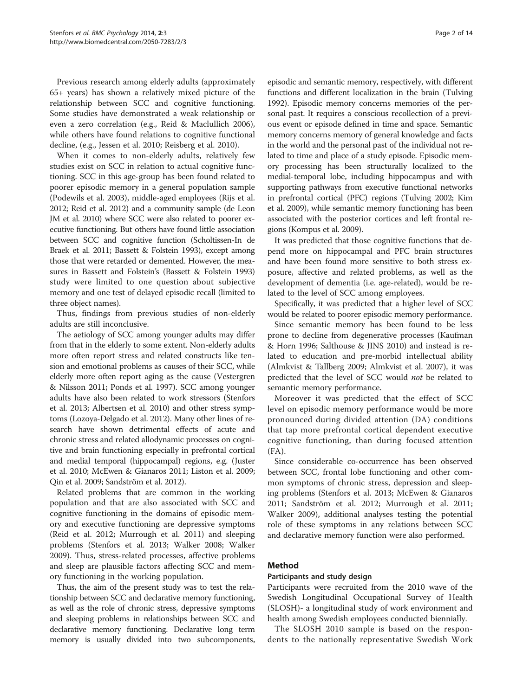Previous research among elderly adults (approximately 65+ years) has shown a relatively mixed picture of the relationship between SCC and cognitive functioning. Some studies have demonstrated a weak relationship or even a zero correlation (e.g., Reid & Maclullich [2006](#page-13-0)), while others have found relations to cognitive functional decline, (e.g., Jessen et al. [2010](#page-12-0); Reisberg et al. [2010](#page-13-0)).

When it comes to non-elderly adults, relatively few studies exist on SCC in relation to actual cognitive functioning. SCC in this age-group has been found related to poorer episodic memory in a general population sample (Podewils et al. [2003\)](#page-13-0), middle-aged employees (Rijs et al. [2012;](#page-13-0) Reid et al. [2012](#page-13-0)) and a community sample (de Leon JM et al. [2010](#page-12-0)) where SCC were also related to poorer executive functioning. But others have found little association between SCC and cognitive function (Scholtissen-In de Braek et al. [2011;](#page-13-0) Bassett & Folstein [1993\)](#page-12-0), except among those that were retarded or demented. However, the measures in Bassett and Folstein's (Bassett & Folstein [1993](#page-12-0)) study were limited to one question about subjective memory and one test of delayed episodic recall (limited to three object names).

Thus, findings from previous studies of non-elderly adults are still inconclusive.

The aetiology of SCC among younger adults may differ from that in the elderly to some extent. Non-elderly adults more often report stress and related constructs like tension and emotional problems as causes of their SCC, while elderly more often report aging as the cause (Vestergren & Nilsson [2011](#page-13-0); Ponds et al. [1997\)](#page-13-0). SCC among younger adults have also been related to work stressors (Stenfors et al. [2013](#page-13-0); Albertsen et al. [2010](#page-12-0)) and other stress symptoms (Lozoya-Delgado et al. [2012](#page-13-0)). Many other lines of research have shown detrimental effects of acute and chronic stress and related allodynamic processes on cognitive and brain functioning especially in prefrontal cortical and medial temporal (hippocampal) regions, e.g. (Juster et al. [2010](#page-12-0); McEwen & Gianaros [2011](#page-13-0); Liston et al. [2009](#page-13-0); Qin et al. [2009](#page-13-0); Sandström et al. [2012\)](#page-13-0).

Related problems that are common in the working population and that are also associated with SCC and cognitive functioning in the domains of episodic memory and executive functioning are depressive symptoms (Reid et al. [2012](#page-13-0); Murrough et al. [2011](#page-13-0)) and sleeping problems (Stenfors et al. [2013](#page-13-0); Walker [2008;](#page-13-0) Walker [2009](#page-13-0)). Thus, stress-related processes, affective problems and sleep are plausible factors affecting SCC and memory functioning in the working population.

Thus, the aim of the present study was to test the relationship between SCC and declarative memory functioning, as well as the role of chronic stress, depressive symptoms and sleeping problems in relationships between SCC and declarative memory functioning. Declarative long term memory is usually divided into two subcomponents,

episodic and semantic memory, respectively, with different functions and different localization in the brain (Tulving [1992\)](#page-13-0). Episodic memory concerns memories of the personal past. It requires a conscious recollection of a previous event or episode defined in time and space. Semantic memory concerns memory of general knowledge and facts in the world and the personal past of the individual not related to time and place of a study episode. Episodic memory processing has been structurally localized to the medial-temporal lobe, including hippocampus and with supporting pathways from executive functional networks in prefrontal cortical (PFC) regions (Tulving [2002;](#page-13-0) Kim et al. [2009](#page-12-0)), while semantic memory functioning has been associated with the posterior cortices and left frontal regions (Kompus et al. [2009\)](#page-12-0).

It was predicted that those cognitive functions that depend more on hippocampal and PFC brain structures and have been found more sensitive to both stress exposure, affective and related problems, as well as the development of dementia (i.e. age-related), would be related to the level of SCC among employees.

Specifically, it was predicted that a higher level of SCC would be related to poorer episodic memory performance.

Since semantic memory has been found to be less prone to decline from degenerative processes (Kaufman & Horn [1996;](#page-12-0) Salthouse & JINS [2010](#page-13-0)) and instead is related to education and pre-morbid intellectual ability (Almkvist & Tallberg [2009](#page-12-0); Almkvist et al. [2007](#page-12-0)), it was predicted that the level of SCC would *not* be related to semantic memory performance.

Moreover it was predicted that the effect of SCC level on episodic memory performance would be more pronounced during divided attention (DA) conditions that tap more prefrontal cortical dependent executive cognitive functioning, than during focused attention (FA).

Since considerable co-occurrence has been observed between SCC, frontal lobe functioning and other common symptoms of chronic stress, depression and sleeping problems (Stenfors et al. [2013](#page-13-0); McEwen & Gianaros [2011](#page-13-0); Sandström et al. [2012](#page-13-0); Murrough et al. [2011](#page-13-0); Walker [2009](#page-13-0)), additional analyses testing the potential role of these symptoms in any relations between SCC and declarative memory function were also performed.

#### Method

#### Participants and study design

Participants were recruited from the 2010 wave of the Swedish Longitudinal Occupational Survey of Health (SLOSH)- a longitudinal study of work environment and health among Swedish employees conducted biennially.

The SLOSH 2010 sample is based on the respondents to the nationally representative Swedish Work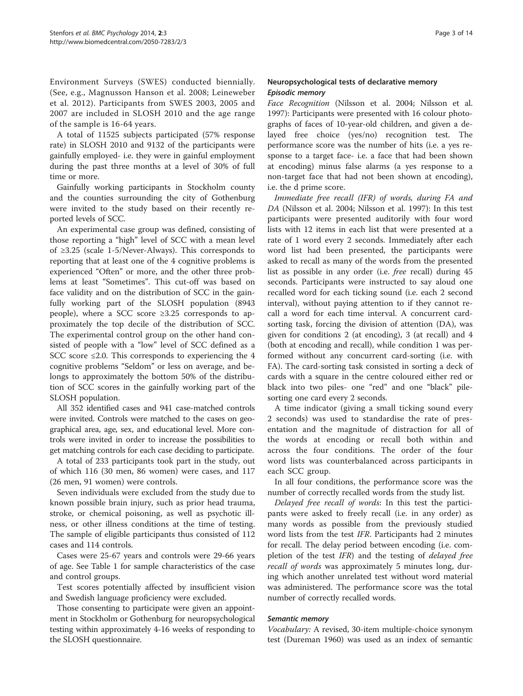Environment Surveys (SWES) conducted biennially. (See, e.g., Magnusson Hanson et al. [2008;](#page-13-0) Leineweber et al. [2012](#page-12-0)). Participants from SWES 2003, 2005 and 2007 are included in SLOSH 2010 and the age range of the sample is 16-64 years.

A total of 11525 subjects participated (57% response rate) in SLOSH 2010 and 9132 of the participants were gainfully employed- i.e. they were in gainful employment during the past three months at a level of 30% of full time or more.

Gainfully working participants in Stockholm county and the counties surrounding the city of Gothenburg were invited to the study based on their recently reported levels of SCC.

An experimental case group was defined, consisting of those reporting a "high" level of SCC with a mean level of ≥3.25 (scale 1-5/Never-Always). This corresponds to reporting that at least one of the 4 cognitive problems is experienced "Often" or more, and the other three problems at least "Sometimes". This cut-off was based on face validity and on the distribution of SCC in the gainfully working part of the SLOSH population (8943 people), where a SCC score ≥3.25 corresponds to approximately the top decile of the distribution of SCC. The experimental control group on the other hand consisted of people with a "low" level of SCC defined as a SCC score ≤2.0. This corresponds to experiencing the 4 cognitive problems "Seldom" or less on average, and belongs to approximately the bottom 50% of the distribution of SCC scores in the gainfully working part of the SLOSH population.

All 352 identified cases and 941 case-matched controls were invited. Controls were matched to the cases on geographical area, age, sex, and educational level. More controls were invited in order to increase the possibilities to get matching controls for each case deciding to participate.

A total of 233 participants took part in the study, out of which 116 (30 men, 86 women) were cases, and 117 (26 men, 91 women) were controls.

Seven individuals were excluded from the study due to known possible brain injury, such as prior head trauma, stroke, or chemical poisoning, as well as psychotic illness, or other illness conditions at the time of testing. The sample of eligible participants thus consisted of 112 cases and 114 controls.

Cases were 25-67 years and controls were 29-66 years of age. See Table [1](#page-3-0) for sample characteristics of the case and control groups.

Test scores potentially affected by insufficient vision and Swedish language proficiency were excluded.

Those consenting to participate were given an appointment in Stockholm or Gothenburg for neuropsychological testing within approximately 4-16 weeks of responding to the SLOSH questionnaire.

## Neuropsychological tests of declarative memory Episodic memory

Face Recognition (Nilsson et al. [2004](#page-13-0); Nilsson et al. [1997](#page-13-0)): Participants were presented with 16 colour photographs of faces of 10-year-old children, and given a delayed free choice (yes/no) recognition test. The performance score was the number of hits (i.e. a yes response to a target face- i.e. a face that had been shown at encoding) minus false alarms (a yes response to a non-target face that had not been shown at encoding), i.e. the d prime score.

Immediate free recall (IFR) of words, during FA and DA (Nilsson et al. [2004](#page-13-0); Nilsson et al. [1997](#page-13-0)): In this test participants were presented auditorily with four word lists with 12 items in each list that were presented at a rate of 1 word every 2 seconds. Immediately after each word list had been presented, the participants were asked to recall as many of the words from the presented list as possible in any order (i.e. free recall) during 45 seconds. Participants were instructed to say aloud one recalled word for each ticking sound (i.e. each 2 second interval), without paying attention to if they cannot recall a word for each time interval. A concurrent cardsorting task, forcing the division of attention (DA), was given for conditions 2 (at encoding), 3 (at recall) and 4 (both at encoding and recall), while condition 1 was performed without any concurrent card-sorting (i.e. with FA). The card-sorting task consisted in sorting a deck of cards with a square in the centre coloured either red or black into two piles- one "red" and one "black" pilesorting one card every 2 seconds.

A time indicator (giving a small ticking sound every 2 seconds) was used to standardise the rate of presentation and the magnitude of distraction for all of the words at encoding or recall both within and across the four conditions. The order of the four word lists was counterbalanced across participants in each SCC group.

In all four conditions, the performance score was the number of correctly recalled words from the study list.

Delayed free recall of words: In this test the participants were asked to freely recall (i.e. in any order) as many words as possible from the previously studied word lists from the test IFR. Participants had 2 minutes for recall. The delay period between encoding (i.e. completion of the test IFR) and the testing of *delayed free* recall of words was approximately 5 minutes long, during which another unrelated test without word material was administered. The performance score was the total number of correctly recalled words.

## Semantic memory

Vocabulary: A revised, 30-item multiple-choice synonym test (Dureman [1960\)](#page-12-0) was used as an index of semantic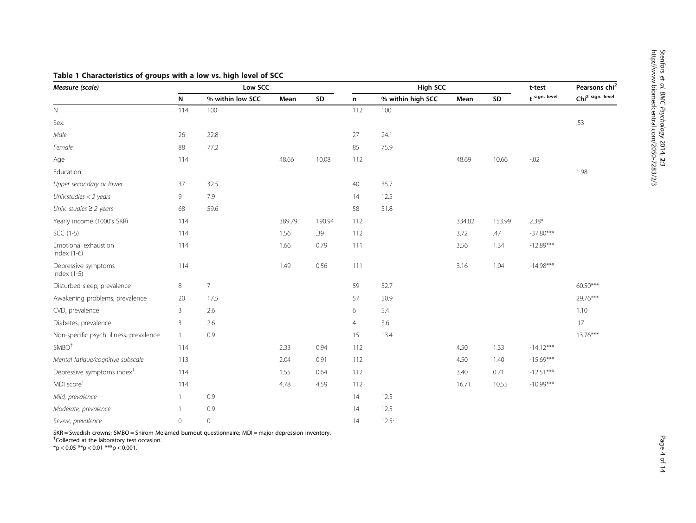| Measure (scale)                         |              | Low SCC          |        |        |                | <b>High SCC</b>   |        |        | t-test        | Pearsons chi <sup>2</sup>    |
|-----------------------------------------|--------------|------------------|--------|--------|----------------|-------------------|--------|--------|---------------|------------------------------|
|                                         | N            | % within low SCC | Mean   | SD     | n.             | % within high SCC | Mean   | SD     | t sign. level | Chi <sup>2</sup> sign. level |
| $\mathbb N$                             | 114          | 100              |        |        | 112            | 100               |        |        |               |                              |
| Sex:                                    |              |                  |        |        |                |                   |        |        |               | .53                          |
| Male                                    | 26           | 22.8             |        |        | 27             | 24.1              |        |        |               |                              |
| Female                                  | 88           | 77.2             |        |        | 85             | 75.9              |        |        |               |                              |
| Age                                     | 114          |                  | 48.66  | 10.08  | 112            |                   | 48.69  | 10.66  | $-0.02$       |                              |
| Education:                              |              |                  |        |        |                |                   |        |        |               | 1.98                         |
| Upper secondary or lower                | 37           | 32.5             |        |        | 40             | 35.7              |        |        |               |                              |
| Univ.studies $<$ 2 years                | 9            | 7.9              |        |        | 14             | 12.5              |        |        |               |                              |
| Univ. studies $\geq$ 2 years            | 68           | 59.6             |        |        | 58             | 51.8              |        |        |               |                              |
| Yearly income (1000's SKR)              | 114          |                  | 389.79 | 190.94 | 112            |                   | 334.82 | 153.99 | $2.38*$       |                              |
| $SCC (1-5)$                             | 114          |                  | 1.56   | .39    | 112            |                   | 3.72   | .47    | $-37.80***$   |                              |
| Emotional exhaustion<br>index $(1-6)$   | 114          |                  | 1.66   | 0.79   | 111            |                   | 3.56   | 1.34   | $-12.89***$   |                              |
| Depressive symptoms<br>index (1-5)      | 114          |                  | 1.49   | 0.56   | 111            |                   | 3.16   | 1.04   | $-14.98***$   |                              |
| Disturbed sleep, prevalence             | 8            | $\overline{7}$   |        |        | 59             | 52.7              |        |        |               | $60.50***$                   |
| Awakening problems, prevalence          | 20           | 17.5             |        |        | 57             | 50.9              |        |        |               | 29.76***                     |
| CVD, prevalence                         | $\mathbf{3}$ | 2.6              |        |        | 6              | 5.4               |        |        |               | 1.10                         |
| Diabetes, prevalence                    | 3            | 2.6              |        |        | $\overline{4}$ | 3.6               |        |        |               | .17                          |
| Non-specific psych. illness, prevalence | $\mathbf{1}$ | 0.9              |        |        | 15             | 13.4              |        |        |               | 13.76***                     |
| SMBQ <sup>†</sup>                       | 114          |                  | 2.33   | 0.94   | 112            |                   | 4.50   | 1.33   | $-14.12***$   |                              |
| Mental fatique/cognitive subscale       | 113          |                  | 2.04   | 0.91   | 112            |                   | 4.50   | 1.40   | $-15.69***$   |                              |
| Depressive symptoms index <sup>+</sup>  | 114          |                  | 1.55   | 0.64   | 112            |                   | 3.40   | 0.71   | $-12.51***$   |                              |
| MDI score <sup>+</sup>                  | 114          |                  | 4.78   | 4.59   | 112            |                   | 16.71  | 10.55  | $-10.99***$   |                              |
| Mild, prevalence                        | $\mathbf{1}$ | 0.9              |        |        | 14             | 12.5              |        |        |               |                              |
| Moderate, prevalence                    | $\mathbf{1}$ | 0.9              |        |        | 14             | 12.5              |        |        |               |                              |
| Severe, prevalence                      | $\circ$      | $\circ$          |        |        | 14             | 12.5              |        |        |               |                              |

## <span id="page-3-0"></span>Table 1 Characteristics of groups with a low vs. high level of SCC

SKR = Swedish crowns; SMBQ = Shirom Melamed burnout questionnaire; MDI = major depression inventory.

† Collected at the laboratory test occasion.

 $*p < 0.05$  \*\*p < 0.01 \*\*\*p < 0.001.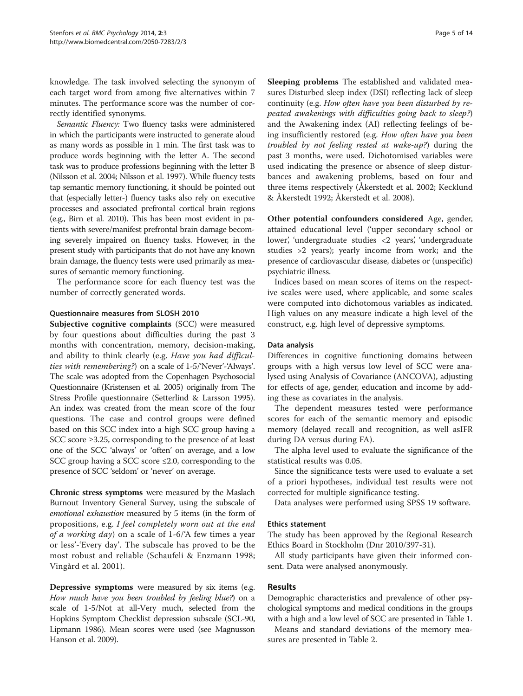knowledge. The task involved selecting the synonym of each target word from among five alternatives within 7 minutes. The performance score was the number of correctly identified synonyms.

Semantic Fluency: Two fluency tasks were administered in which the participants were instructed to generate aloud as many words as possible in 1 min. The first task was to produce words beginning with the letter A. The second task was to produce professions beginning with the letter B (Nilsson et al. [2004;](#page-13-0) Nilsson et al. [1997](#page-13-0)). While fluency tests tap semantic memory functioning, it should be pointed out that (especially letter-) fluency tasks also rely on executive processes and associated prefrontal cortical brain regions (e.g., Birn et al. [2010](#page-12-0)). This has been most evident in patients with severe/manifest prefrontal brain damage becoming severely impaired on fluency tasks. However, in the present study with participants that do not have any known brain damage, the fluency tests were used primarily as measures of semantic memory functioning.

The performance score for each fluency test was the number of correctly generated words.

#### Questionnaire measures from SLOSH 2010

Subjective cognitive complaints (SCC) were measured by four questions about difficulties during the past 3 months with concentration, memory, decision-making, and ability to think clearly (e.g. Have you had difficulties with remembering?) on a scale of 1-5/'Never'-'Always'. The scale was adopted from the Copenhagen Psychosocial Questionnaire (Kristensen et al. [2005\)](#page-12-0) originally from The Stress Profile questionnaire (Setterlind & Larsson [1995](#page-13-0)). An index was created from the mean score of the four questions. The case and control groups were defined based on this SCC index into a high SCC group having a SCC score ≥3.25, corresponding to the presence of at least one of the SCC 'always' or 'often' on average, and a low SCC group having a SCC score ≤2.0, corresponding to the presence of SCC 'seldom' or 'never' on average.

Chronic stress symptoms were measured by the Maslach Burnout Inventory General Survey, using the subscale of emotional exhaustion measured by 5 items (in the form of propositions, e.g. I feel completely worn out at the end of a working day) on a scale of 1-6/'A few times a year or less'-'Every day'. The subscale has proved to be the most robust and reliable (Schaufeli & Enzmann [1998](#page-13-0); Vingård et al. [2001\)](#page-13-0).

Depressive symptoms were measured by six items (e.g. How much have you been troubled by feeling blue?) on a scale of 1-5/Not at all-Very much, selected from the Hopkins Symptom Checklist depression subscale (SCL-90, Lipmann [1986](#page-13-0)). Mean scores were used (see Magnusson Hanson et al. [2009\)](#page-13-0).

Sleeping problems The established and validated measures Disturbed sleep index (DSI) reflecting lack of sleep continuity (e.g. How often have you been disturbed by repeated awakenings with difficulties going back to sleep?) and the Awakening index (AI) reflecting feelings of being insufficiently restored (e.g. How often have you been troubled by not feeling rested at wake-up?) during the past 3 months, were used. Dichotomised variables were used indicating the presence or absence of sleep disturbances and awakening problems, based on four and three items respectively (Åkerstedt et al. [2002](#page-12-0); Kecklund & Åkerstedt [1992](#page-12-0); Åkerstedt et al. [2008\)](#page-12-0).

Other potential confounders considered Age, gender, attained educational level ('upper secondary school or lower', 'undergraduate studies <2 years', 'undergraduate studies >2 years); yearly income from work; and the presence of cardiovascular disease, diabetes or (unspecific) psychiatric illness.

Indices based on mean scores of items on the respective scales were used, where applicable, and some scales were computed into dichotomous variables as indicated. High values on any measure indicate a high level of the construct, e.g. high level of depressive symptoms.

#### Data analysis

Differences in cognitive functioning domains between groups with a high versus low level of SCC were analysed using Analysis of Covariance (ANCOVA), adjusting for effects of age, gender, education and income by adding these as covariates in the analysis.

The dependent measures tested were performance scores for each of the semantic memory and episodic memory (delayed recall and recognition, as well asIFR during DA versus during FA).

The alpha level used to evaluate the significance of the statistical results was 0.05.

Since the significance tests were used to evaluate a set of a priori hypotheses, individual test results were not corrected for multiple significance testing.

Data analyses were performed using SPSS 19 software.

### Ethics statement

The study has been approved by the Regional Research Ethics Board in Stockholm (Dnr 2010/397-31).

All study participants have given their informed consent. Data were analysed anonymously.

## Results

Demographic characteristics and prevalence of other psychological symptoms and medical conditions in the groups with a high and a low level of SCC are presented in Table [1.](#page-3-0)

Means and standard deviations of the memory measures are presented in Table [2.](#page-5-0)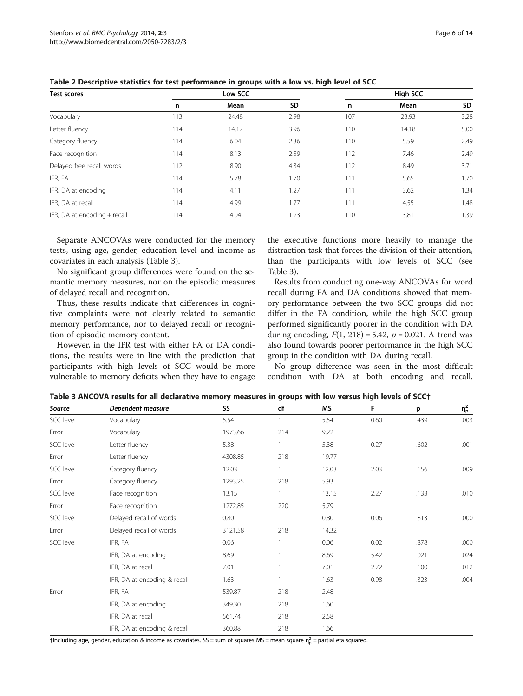| <b>Test scores</b>           |     | Low SCC |      | High SCC<br>Mean<br>n<br>107<br>23.93<br>14.18<br>110<br>110<br>5.59 |      |      |
|------------------------------|-----|---------|------|----------------------------------------------------------------------|------|------|
|                              | n   | Mean    | SD   |                                                                      |      | SD   |
| Vocabulary                   | 113 | 24.48   | 2.98 |                                                                      |      | 3.28 |
| Letter fluency               | 114 | 14.17   | 3.96 |                                                                      |      | 5.00 |
| Category fluency             | 114 | 6.04    | 2.36 |                                                                      |      | 2.49 |
| Face recognition             | 114 | 8.13    | 2.59 | 112                                                                  | 7.46 | 2.49 |
| Delayed free recall words    | 112 | 8.90    | 4.34 | 112                                                                  | 8.49 | 3.71 |
| IFR, FA                      | 114 | 5.78    | 1.70 | 111                                                                  | 5.65 | 1.70 |
| IFR, DA at encoding          | 114 | 4.11    | 1.27 | 111                                                                  | 3.62 | 1.34 |
| IFR, DA at recall            | 114 | 4.99    | 1.77 | 111                                                                  | 4.55 | 1.48 |
| IFR, DA at encoding + recall | 114 | 4.04    | 1.23 | 110                                                                  | 3.81 | 1.39 |

<span id="page-5-0"></span>Table 2 Descriptive statistics for test performance in groups with a low vs. high level of SCC

Separate ANCOVAs were conducted for the memory tests, using age, gender, education level and income as covariates in each analysis (Table 3).

No significant group differences were found on the semantic memory measures, nor on the episodic measures of delayed recall and recognition.

Thus, these results indicate that differences in cognitive complaints were not clearly related to semantic memory performance, nor to delayed recall or recognition of episodic memory content.

However, in the IFR test with either FA or DA conditions, the results were in line with the prediction that participants with high levels of SCC would be more vulnerable to memory deficits when they have to engage the executive functions more heavily to manage the distraction task that forces the division of their attention, than the participants with low levels of SCC (see Table 3).

Results from conducting one-way ANCOVAs for word recall during FA and DA conditions showed that memory performance between the two SCC groups did not differ in the FA condition, while the high SCC group performed significantly poorer in the condition with DA during encoding,  $F(1, 218) = 5.42$ ,  $p = 0.021$ . A trend was also found towards poorer performance in the high SCC group in the condition with DA during recall.

No group difference was seen in the most difficult condition with DA at both encoding and recall.

| Source           | Dependent measure            | SS.     | df           | ΜS    | F.   | p    | $\eta_{\rm p}^2$ |
|------------------|------------------------------|---------|--------------|-------|------|------|------------------|
| <b>SCC level</b> | Vocabulary                   | 5.54    |              | 5.54  | 0.60 | .439 | .003             |
| Error            | Vocabulary                   | 1973.66 | 214          | 9.22  |      |      |                  |
| SCC level        | Letter fluency               | 5.38    | 1            | 5.38  | 0.27 | .602 | .001             |
| Error            | Letter fluency               | 4308.85 | 218          | 19.77 |      |      |                  |
| SCC level        | Category fluency             | 12.03   | 1            | 12.03 | 2.03 | .156 | .009             |
| Error            | Category fluency             | 1293.25 | 218          | 5.93  |      |      |                  |
| SCC level        | Face recognition             | 13.15   |              | 13.15 | 2.27 | .133 | .010             |
| Error            | Face recognition             | 1272.85 | 220          | 5.79  |      |      |                  |
| SCC level        | Delayed recall of words      | 0.80    | 1            | 0.80  | 0.06 | .813 | .000             |
| Error            | Delayed recall of words      | 3121.58 | 218          | 14.32 |      |      |                  |
| SCC level        | IFR, FA                      | 0.06    |              | 0.06  | 0.02 | .878 | .000             |
|                  | IFR, DA at encoding          | 8.69    |              | 8.69  | 5.42 | .021 | .024             |
|                  | IFR, DA at recall            | 7.01    |              | 7.01  | 2.72 | .100 | .012             |
|                  | IFR, DA at encoding & recall | 1.63    | $\mathbf{1}$ | 1.63  | 0.98 | .323 | .004             |
| Error            | IFR, FA                      | 539.87  | 218          | 2.48  |      |      |                  |
|                  | IFR, DA at encoding          | 349.30  | 218          | 1.60  |      |      |                  |
|                  | IFR, DA at recall            | 561.74  | 218          | 2.58  |      |      |                  |
|                  | IFR, DA at encoding & recall | 360.88  | 218          | 1.66  |      |      |                  |

†Including age, gender, education & income as covariates. SS = sum of squares MS = mean square  $\eta_{\rm p}^2$  = partial eta squared.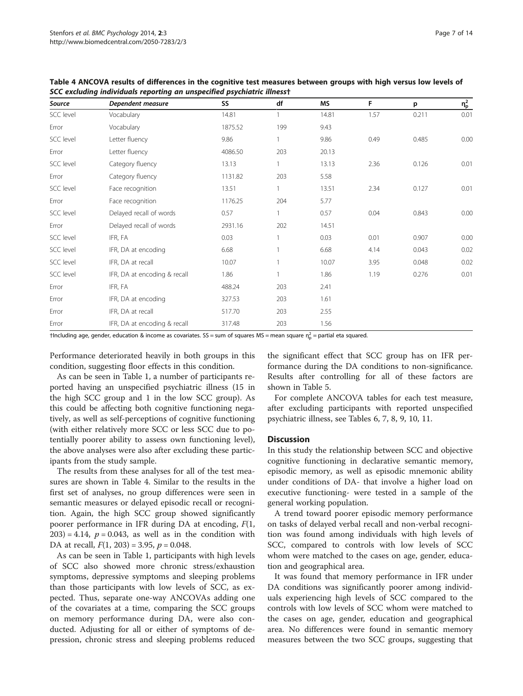| Source           | Dependent measure            | SS.     | df           | <b>MS</b> | F    | p     | $\eta_{\rm p}^2$ |
|------------------|------------------------------|---------|--------------|-----------|------|-------|------------------|
| SCC level        | Vocabulary                   | 14.81   |              | 14.81     | 1.57 | 0.211 | 0.01             |
| Error            | Vocabulary                   | 1875.52 | 199          | 9.43      |      |       |                  |
| <b>SCC level</b> | Letter fluency               | 9.86    | 1            | 9.86      | 0.49 | 0.485 | 0.00             |
| Error            | Letter fluency               | 4086.50 | 203          | 20.13     |      |       |                  |
| SCC level        | Category fluency             | 13.13   | 1            | 13.13     | 2.36 | 0.126 | 0.01             |
| Error            | Category fluency             | 1131.82 | 203          | 5.58      |      |       |                  |
| SCC level        | Face recognition             | 13.51   | $\mathbf{1}$ | 13.51     | 2.34 | 0.127 | 0.01             |
| Error            | Face recognition             | 1176.25 | 204          | 5.77      |      |       |                  |
| <b>SCC level</b> | Delayed recall of words      | 0.57    | 1            | 0.57      | 0.04 | 0.843 | 0.00             |
| Error            | Delayed recall of words      | 2931.16 | 202          | 14.51     |      |       |                  |
| SCC level        | IFR, FA                      | 0.03    |              | 0.03      | 0.01 | 0.907 | 0.00             |
| SCC level        | IFR, DA at encoding          | 6.68    |              | 6.68      | 4.14 | 0.043 | 0.02             |
| SCC level        | IFR, DA at recall            | 10.07   |              | 10.07     | 3.95 | 0.048 | 0.02             |
| SCC level        | IFR, DA at encoding & recall | 1.86    | 1            | 1.86      | 1.19 | 0.276 | 0.01             |
| Error            | IFR, FA                      | 488.24  | 203          | 2.41      |      |       |                  |
| Error            | IFR, DA at encoding          | 327.53  | 203          | 1.61      |      |       |                  |
| Error            | IFR, DA at recall            | 517.70  | 203          | 2.55      |      |       |                  |
| Error            | IFR, DA at encoding & recall | 317.48  | 203          | 1.56      |      |       |                  |

Table 4 ANCOVA results of differences in the cognitive test measures between groups with high versus low levels of SCC excluding individuals reporting an unspecified psychiatric illness†

†Including age, gender, education & income as covariates. SS = sum of squares MS = mean square  $\eta_{\sf p}^2$  = partial eta squared.

Performance deteriorated heavily in both groups in this condition, suggesting floor effects in this condition.

As can be seen in Table [1,](#page-3-0) a number of participants reported having an unspecified psychiatric illness (15 in the high SCC group and 1 in the low SCC group). As this could be affecting both cognitive functioning negatively, as well as self-perceptions of cognitive functioning (with either relatively more SCC or less SCC due to potentially poorer ability to assess own functioning level), the above analyses were also after excluding these participants from the study sample.

The results from these analyses for all of the test measures are shown in Table 4. Similar to the results in the first set of analyses, no group differences were seen in semantic measures or delayed episodic recall or recognition. Again, the high SCC group showed significantly poorer performance in IFR during DA at encoding,  $F(1, \theta)$  $203$  = 4.14,  $p = 0.043$ , as well as in the condition with DA at recall,  $F(1, 203) = 3.95$ ,  $p = 0.048$ .

As can be seen in Table [1](#page-3-0), participants with high levels of SCC also showed more chronic stress/exhaustion symptoms, depressive symptoms and sleeping problems than those participants with low levels of SCC, as expected. Thus, separate one-way ANCOVAs adding one of the covariates at a time, comparing the SCC groups on memory performance during DA, were also conducted. Adjusting for all or either of symptoms of depression, chronic stress and sleeping problems reduced the significant effect that SCC group has on IFR performance during the DA conditions to non-significance. Results after controlling for all of these factors are shown in Table [5.](#page-7-0)

For complete ANCOVA tables for each test measure, after excluding participants with reported unspecified psychiatric illness, see Tables [6, 7,](#page-8-0) [8, 9, 10](#page-9-0), [11](#page-10-0).

#### **Discussion**

In this study the relationship between SCC and objective cognitive functioning in declarative semantic memory, episodic memory, as well as episodic mnemonic ability under conditions of DA- that involve a higher load on executive functioning- were tested in a sample of the general working population.

A trend toward poorer episodic memory performance on tasks of delayed verbal recall and non-verbal recognition was found among individuals with high levels of SCC, compared to controls with low levels of SCC whom were matched to the cases on age, gender, education and geographical area.

It was found that memory performance in IFR under DA conditions was significantly poorer among individuals experiencing high levels of SCC compared to the controls with low levels of SCC whom were matched to the cases on age, gender, education and geographical area. No differences were found in semantic memory measures between the two SCC groups, suggesting that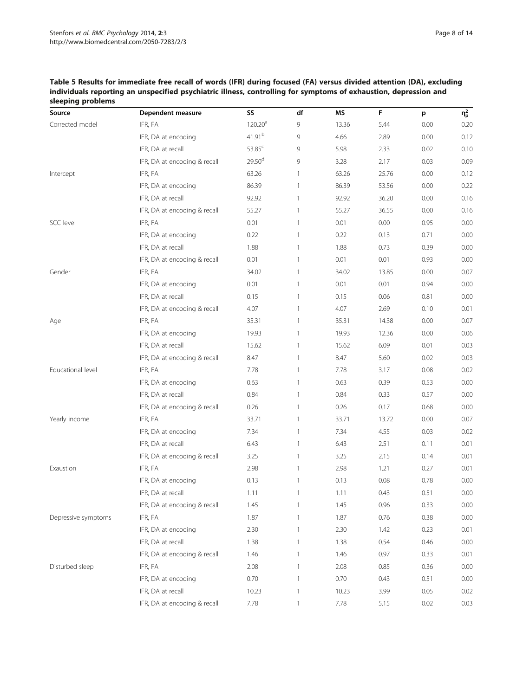<span id="page-7-0"></span>Table 5 Results for immediate free recall of words (IFR) during focused (FA) versus divided attention (DA), excluding individuals reporting an unspecified psychiatric illness, controlling for symptoms of exhaustion, depression and sleeping problems

| Source              | Dependent measure            | SS                  | df           | MS    | F     | p    | $n_p^2$ |
|---------------------|------------------------------|---------------------|--------------|-------|-------|------|---------|
| Corrected model     | IFR, FA                      | 120.20 <sup>a</sup> | 9            | 13.36 | 5.44  | 0.00 | 0.20    |
|                     | IFR, DA at encoding          | 41.91 <sup>b</sup>  | 9            | 4.66  | 2.89  | 0.00 | 0.12    |
|                     | IFR, DA at recall            | $53.85^{\circ}$     | 9            | 5.98  | 2.33  | 0.02 | 0.10    |
|                     | IFR, DA at encoding & recall | 29.50 <sup>d</sup>  | 9            | 3.28  | 2.17  | 0.03 | 0.09    |
| Intercept           | IFR, FA                      | 63.26               | 1            | 63.26 | 25.76 | 0.00 | 0.12    |
|                     | IFR, DA at encoding          | 86.39               | 1            | 86.39 | 53.56 | 0.00 | 0.22    |
|                     | IFR, DA at recall            | 92.92               | 1            | 92.92 | 36.20 | 0.00 | 0.16    |
|                     | IFR, DA at encoding & recall | 55.27               | 1            | 55.27 | 36.55 | 0.00 | 0.16    |
| SCC level           | IFR, FA                      | 0.01                | 1            | 0.01  | 0.00  | 0.95 | 0.00    |
|                     | IFR, DA at encoding          | 0.22                | 1            | 0.22  | 0.13  | 0.71 | 0.00    |
|                     | IFR, DA at recall            | 1.88                | 1            | 1.88  | 0.73  | 0.39 | 0.00    |
|                     | IFR, DA at encoding & recall | 0.01                | 1            | 0.01  | 0.01  | 0.93 | 0.00    |
| Gender              | IFR, FA                      | 34.02               | 1            | 34.02 | 13.85 | 0.00 | 0.07    |
|                     | IFR, DA at encoding          | 0.01                | 1            | 0.01  | 0.01  | 0.94 | 0.00    |
|                     | IFR, DA at recall            | 0.15                | 1            | 0.15  | 0.06  | 0.81 | 0.00    |
|                     | IFR, DA at encoding & recall | 4.07                | 1            | 4.07  | 2.69  | 0.10 | 0.01    |
| Age                 | IFR, FA                      | 35.31               | 1            | 35.31 | 14.38 | 0.00 | 0.07    |
|                     | IFR, DA at encoding          | 19.93               | 1            | 19.93 | 12.36 | 0.00 | 0.06    |
|                     | IFR, DA at recall            | 15.62               | 1            | 15.62 | 6.09  | 0.01 | 0.03    |
|                     | IFR, DA at encoding & recall | 8.47                | 1            | 8.47  | 5.60  | 0.02 | 0.03    |
| Educational level   | IFR, FA                      | 7.78                | 1            | 7.78  | 3.17  | 0.08 | 0.02    |
|                     | IFR, DA at encoding          | 0.63                | 1            | 0.63  | 0.39  | 0.53 | 0.00    |
|                     | IFR, DA at recall            | 0.84                | 1            | 0.84  | 0.33  | 0.57 | 0.00    |
|                     | IFR, DA at encoding & recall | 0.26                | 1            | 0.26  | 0.17  | 0.68 | 0.00    |
| Yearly income       | IFR, FA                      | 33.71               | 1            | 33.71 | 13.72 | 0.00 | 0.07    |
|                     | IFR, DA at encoding          | 7.34                | 1            | 7.34  | 4.55  | 0.03 | 0.02    |
|                     | IFR, DA at recall            | 6.43                | 1            | 6.43  | 2.51  | 0.11 | 0.01    |
|                     | IFR, DA at encoding & recall | 3.25                | 1            | 3.25  | 2.15  | 0.14 | 0.01    |
| Exaustion           | IFR, FA                      | 2.98                | 1            | 2.98  | 1.21  | 0.27 | 0.01    |
|                     | IFR, DA at encoding          | 0.13                | 1            | 0.13  | 0.08  | 0.78 | 0.00    |
|                     | IFR, DA at recall            | 1.11                | 1            | 1.11  | 0.43  | 0.51 | 0.00    |
|                     | IFR, DA at encoding & recall | 1.45                | $\mathbf{1}$ | 1.45  | 0.96  | 0.33 | 0.00    |
| Depressive symptoms | IFR, FA                      | 1.87                | 1            | 1.87  | 0.76  | 0.38 | 0.00    |
|                     | IFR, DA at encoding          | 2.30                | 1            | 2.30  | 1.42  | 0.23 | 0.01    |
|                     | IFR, DA at recall            | 1.38                | 1            | 1.38  | 0.54  | 0.46 | 0.00    |
|                     | IFR, DA at encoding & recall | 1.46                | 1            | 1.46  | 0.97  | 0.33 | 0.01    |
| Disturbed sleep     | IFR, FA                      | 2.08                | 1            | 2.08  | 0.85  | 0.36 | 0.00    |
|                     | IFR, DA at encoding          | 0.70                | 1            | 0.70  | 0.43  | 0.51 | 0.00    |
|                     | IFR, DA at recall            | 10.23               | 1            | 10.23 | 3.99  | 0.05 | 0.02    |
|                     | IFR, DA at encoding & recall | 7.78                |              | 7.78  | 5.15  | 0.02 | 0.03    |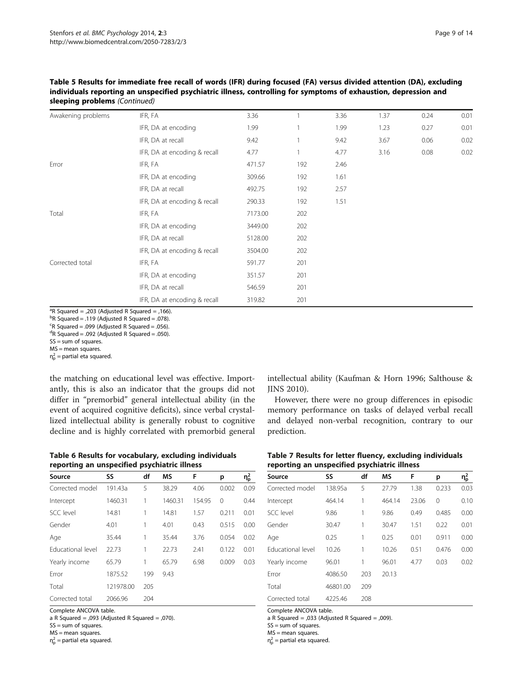| $\frac{1}{2}$      |                              |         |     |      |      |      |      |
|--------------------|------------------------------|---------|-----|------|------|------|------|
| Awakening problems | IFR, FA                      | 3.36    |     | 3.36 | 1.37 | 0.24 | 0.01 |
|                    | IFR, DA at encoding          | 1.99    |     | 1.99 | 1.23 | 0.27 | 0.01 |
|                    | IFR, DA at recall            | 9.42    |     | 9.42 | 3.67 | 0.06 | 0.02 |
|                    | IFR, DA at encoding & recall | 4.77    |     | 4.77 | 3.16 | 0.08 | 0.02 |
| Error              | IFR, FA                      | 471.57  | 192 | 2.46 |      |      |      |
|                    | IFR, DA at encoding          | 309.66  | 192 | 1.61 |      |      |      |
|                    | IFR, DA at recall            | 492.75  | 192 | 2.57 |      |      |      |
|                    | IFR, DA at encoding & recall | 290.33  | 192 | 1.51 |      |      |      |
| Total              | IFR, FA                      | 7173.00 | 202 |      |      |      |      |
|                    | IFR, DA at encoding          | 3449.00 | 202 |      |      |      |      |
|                    | IFR, DA at recall            | 5128.00 | 202 |      |      |      |      |
|                    | IFR, DA at encoding & recall | 3504.00 | 202 |      |      |      |      |
| Corrected total    | IFR, FA                      | 591.77  | 201 |      |      |      |      |
|                    | IFR, DA at encoding          | 351.57  | 201 |      |      |      |      |
|                    | IFR, DA at recall            | 546.59  | 201 |      |      |      |      |
|                    | IFR, DA at encoding & recall | 319.82  | 201 |      |      |      |      |

<span id="page-8-0"></span>Table 5 Results for immediate free recall of words (IFR) during focused (FA) versus divided attention (DA), excluding individuals reporting an unspecified psychiatric illness, controlling for symptoms of exhaustion, depression and sleeping problems (Continued)

<sup>a</sup>R Squared = ,203 (Adjusted R Squared = ,166).

 ${}^{b}R$  Squared = .119 (Adjusted R Squared = .078).

 ${}^{\text{c}}$ R Squared = .099 (Adjusted R Squared = .056).  ${}^{d}$ R Squared = .092 (Adjusted R Squared = .050).

 $SS = sum of squares$ .

 $MS$  = mean squares.

 $\eta_{\rm p}^2$  = partial eta squared.

the matching on educational level was effective. Importantly, this is also an indicator that the groups did not differ in "premorbid" general intellectual ability (in the event of acquired cognitive deficits), since verbal crystallized intellectual ability is generally robust to cognitive decline and is highly correlated with premorbid general intellectual ability (Kaufman & Horn [1996;](#page-12-0) Salthouse & JINS [2010](#page-13-0)).

However, there were no group differences in episodic memory performance on tasks of delayed verbal recall and delayed non-verbal recognition, contrary to our prediction.

Table 6 Results for vocabulary, excluding individuals reporting an unspecified psychiatric illness

| Source                   | SS        | df  | <b>MS</b> | F      | p     | $n_p^2$ |
|--------------------------|-----------|-----|-----------|--------|-------|---------|
| Corrected model          | 191.43a   | 5   | 38.29     | 4.06   | 0.002 | 0.09    |
| Intercept                | 1460.31   | 1   | 1460.31   | 154.95 | 0     | 0.44    |
| <b>SCC</b> level         | 14.81     | 1   | 14.81     | 1.57   | 0.211 | 0.01    |
| Gender                   | 4.01      | 1   | 4.01      | 0.43   | 0.515 | 0.00    |
| Age                      | 35.44     | 1   | 35.44     | 3.76   | 0.054 | 0.02    |
| <b>Educational level</b> | 22.73     | 1   | 22.73     | 2.41   | 0.122 | 0.01    |
| Yearly income            | 65.79     | 1   | 65.79     | 6.98   | 0.009 | 0.03    |
| Error                    | 1875.52   | 199 | 9.43      |        |       |         |
| Total                    | 121978.00 | 205 |           |        |       |         |
| Corrected total          | 2066.96   | 204 |           |        |       |         |

Complete ANCOVA table.

a R Squared = ,093 (Adjusted R Squared = ,070).

SS = sum of squares.

MS = mean squares.

 $\eta_{\rm p}^2$  = partial eta squared.

## Table 7 Results for letter fluency, excluding individuals reporting an unspecified psychiatric illness

| Source                   | SS       | df  | MS     | F     | p     | $\eta_{\rm p}^2$ |
|--------------------------|----------|-----|--------|-------|-------|------------------|
| Corrected model          | 138.95a  | 5   | 27.79  | 1.38  | 0.233 | 0.03             |
| Intercept                | 464.14   | 1   | 464.14 | 23.06 | 0     | 0.10             |
| <b>SCC</b> level         | 9.86     | 1   | 9.86   | 0.49  | 0.485 | 0.00             |
| Gender                   | 30.47    | 1   | 30.47  | 1.51  | 0.22  | 0.01             |
| Age                      | 0.25     | 1   | 0.25   | 0.01  | 0.911 | 0.00             |
| <b>Educational level</b> | 10.26    | 1   | 10.26  | 0.51  | 0.476 | 0.00             |
| Yearly income            | 96.01    | 1   | 96.01  | 4.77  | 0.03  | 0.02             |
| Error                    | 4086.50  | 203 | 20.13  |       |       |                  |
| Total                    | 46801.00 | 209 |        |       |       |                  |
| Corrected total          | 4225.46  | 208 |        |       |       |                  |

Complete ANCOVA table.

a R Squared = ,033 (Adjusted R Squared = ,009).

SS = sum of squares.

MS = mean squares.

 $\eta_{\rm p}^2$  = partial eta squared.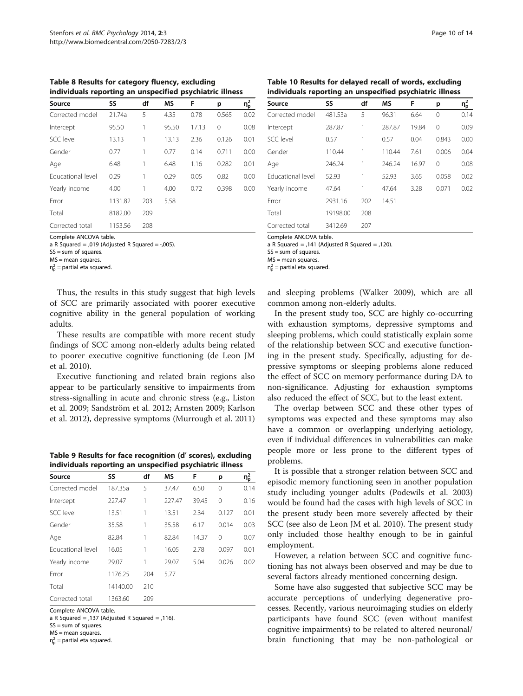<span id="page-9-0"></span>Table 8 Results for category fluency, excluding individuals reporting an unspecified psychiatric illness

| Source                   | SS      | df  | ΜS    | F     | p     | $\eta_{\rm p}^2$ |
|--------------------------|---------|-----|-------|-------|-------|------------------|
| Corrected model          | 21.74a  | 5   | 4.35  | 0.78  | 0.565 | 0.02             |
| Intercept                | 95.50   | 1   | 95.50 | 17.13 | 0     | 0.08             |
| SCC level                | 13.13   | 1   | 13.13 | 2.36  | 0.126 | 0.01             |
| Gender                   | 0.77    | 1   | 0.77  | 0.14  | 0.711 | 0.00             |
| Age                      | 6.48    | 1   | 6.48  | 1.16  | 0.282 | 0.01             |
| <b>Educational level</b> | 0.29    | 1   | 0.29  | 0.05  | 0.82  | 0.00             |
| Yearly income            | 4.00    | 1   | 4.00  | 0.72  | 0.398 | 0.00             |
| Frror                    | 1131.82 | 203 | 5.58  |       |       |                  |
| Total                    | 8182.00 | 209 |       |       |       |                  |
| Corrected total          | 1153.56 | 208 |       |       |       |                  |

Complete ANCOVA table.

a R Squared =  $,019$  (Adjusted R Squared =  $-0.005$ ).

 $SS = sum of squares$ .

 $MS =$  mean squares.

 $\eta_{\rm p}^2$  = partial eta squared.

Thus, the results in this study suggest that high levels of SCC are primarily associated with poorer executive cognitive ability in the general population of working adults.

These results are compatible with more recent study findings of SCC among non-elderly adults being related to poorer executive cognitive functioning (de Leon JM et al. [2010\)](#page-12-0).

Executive functioning and related brain regions also appear to be particularly sensitive to impairments from stress-signalling in acute and chronic stress (e.g., Liston et al. [2009;](#page-13-0) Sandström et al. [2012](#page-13-0); Arnsten [2009;](#page-12-0) Karlson et al. [2012\)](#page-12-0), depressive symptoms (Murrough et al. [2011](#page-13-0))

Table 9 Results for face recognition (d′ scores), excluding individuals reporting an unspecified psychiatric illness

| Source            | SS       | df  | <b>MS</b> | F     | p           | $\eta_{\rm p}^2$ |
|-------------------|----------|-----|-----------|-------|-------------|------------------|
| Corrected model   | 187.35a  | 5   | 37.47     | 6.50  | $\mathbf 0$ | 0.14             |
| Intercept         | 227.47   | 1   | 227.47    | 39.45 | $\Omega$    | 0.16             |
| <b>SCC</b> level  | 13.51    | 1   | 13.51     | 2.34  | 0.127       | 0.01             |
| Gender            | 35.58    | 1   | 35.58     | 6.17  | 0.014       | 0.03             |
| Age               | 82.84    | 1   | 82.84     | 14.37 | $\Omega$    | 0.07             |
| Educational level | 16.05    | 1   | 16.05     | 2.78  | 0.097       | 0.01             |
| Yearly income     | 29.07    | 1   | 29.07     | 5.04  | 0.026       | 0.02             |
| Error             | 1176.25  | 204 | 5.77      |       |             |                  |
| Total             | 14140.00 | 210 |           |       |             |                  |
| Corrected total   | 1363.60  | 209 |           |       |             |                  |
|                   |          |     |           |       |             |                  |

Complete ANCOVA table.

a R Squared = ,137 (Adjusted R Squared = ,116).

 $SS = sum of squares$ .

MS = mean squares.

 $\eta_{\rm p}^2$  = partial eta squared.

Table 10 Results for delayed recall of words, excluding individuals reporting an unspecified psychiatric illness

| Source                   | SS       | df  | MS     | F     | p        | $n_p^2$ |
|--------------------------|----------|-----|--------|-------|----------|---------|
| Corrected model          | 481.53a  | 5   | 96.31  | 6.64  | 0        | 0.14    |
| Intercept                | 287.87   |     | 287.87 | 19.84 | 0        | 0.09    |
| SCC level                | 0.57     | 1   | 0.57   | 0.04  | 0.843    | 0.00    |
| Gender                   | 110.44   |     | 110.44 | 7.61  | 0.006    | 0.04    |
| Age                      | 246.24   |     | 246.24 | 16.97 | $\Omega$ | 0.08    |
| <b>Educational level</b> | 52.93    |     | 52.93  | 3.65  | 0.058    | 0.02    |
| Yearly income            | 47.64    |     | 47.64  | 3.28  | 0.071    | 0.02    |
| Frror                    | 2931.16  | 202 | 14.51  |       |          |         |
| Total                    | 19198.00 | 208 |        |       |          |         |
| Corrected total          | 3412.69  | 207 |        |       |          |         |

Complete ANCOVA table.

a R Squared = .141 (Adjusted R Squared = .120).

 $SS = sum of squares.$ 

 $MS =$  mean squares.

 $\eta_{\rm p}^2$  = partial eta squared.

and sleeping problems (Walker [2009](#page-13-0)), which are all common among non-elderly adults.

In the present study too, SCC are highly co-occurring with exhaustion symptoms, depressive symptoms and sleeping problems, which could statistically explain some of the relationship between SCC and executive functioning in the present study. Specifically, adjusting for depressive symptoms or sleeping problems alone reduced the effect of SCC on memory performance during DA to non-significance. Adjusting for exhaustion symptoms also reduced the effect of SCC, but to the least extent.

The overlap between SCC and these other types of symptoms was expected and these symptoms may also have a common or overlapping underlying aetiology, even if individual differences in vulnerabilities can make people more or less prone to the different types of problems.

It is possible that a stronger relation between SCC and episodic memory functioning seen in another population study including younger adults (Podewils et al. [2003](#page-13-0)) would be found had the cases with high levels of SCC in the present study been more severely affected by their SCC (see also de Leon JM et al. [2010](#page-12-0)). The present study only included those healthy enough to be in gainful employment.

However, a relation between SCC and cognitive functioning has not always been observed and may be due to several factors already mentioned concerning design.

Some have also suggested that subjective SCC may be accurate perceptions of underlying degenerative processes. Recently, various neuroimaging studies on elderly participants have found SCC (even without manifest cognitive impairments) to be related to altered neuronal/ brain functioning that may be non-pathological or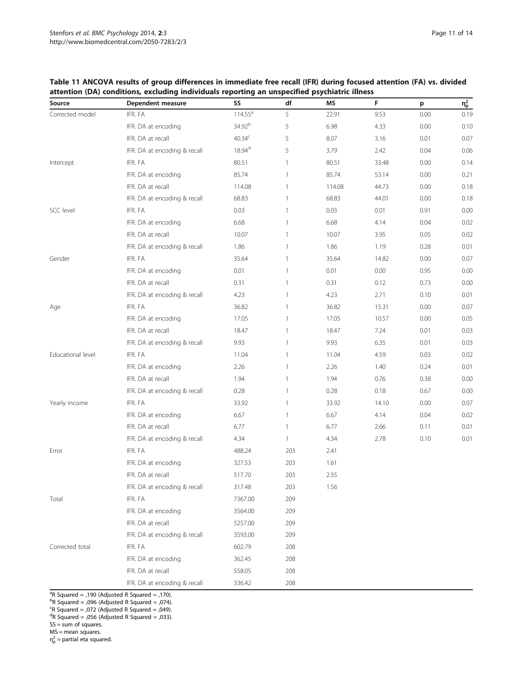<span id="page-10-0"></span>Table 11 ANCOVA results of group differences in immediate free recall (IFR) during focused attention (FA) vs. divided attention (DA) conditions, excluding individuals reporting an unspecified psychiatric illness

| Source            | Dependent measure            | SS                 | df           | ΜS     | F     | p    | $n_p^2$ |
|-------------------|------------------------------|--------------------|--------------|--------|-------|------|---------|
| Corrected model   | IFR. FA                      | $114.55^a$         | 5            | 22.91  | 9.53  | 0.00 | 0.19    |
|                   | IFR. DA at encoding          | 34.92 <sup>b</sup> | 5            | 6.98   | 4.33  | 0.00 | 0.10    |
|                   | IFR. DA at recall            | $40.34^c$          | 5            | 8.07   | 3.16  | 0.01 | 0.07    |
|                   | IFR. DA at encoding & recall | $18.94^d$          | 5            | 3.79   | 2.42  | 0.04 | 0.06    |
| Intercept         | IFR. FA                      | 80.51              | $\mathbf{1}$ | 80.51  | 33.48 | 0.00 | 0.14    |
|                   | IFR. DA at encoding          | 85.74              | 1            | 85.74  | 53.14 | 0.00 | 0.21    |
|                   | IFR. DA at recall            | 114.08             | 1            | 114.08 | 44.73 | 0.00 | 0.18    |
|                   | IFR. DA at encoding & recall | 68.83              | 1            | 68.83  | 44.01 | 0.00 | 0.18    |
| SCC level         | IFR. FA                      | 0.03               | 1            | 0.03   | 0.01  | 0.91 | 0.00    |
|                   | IFR. DA at encoding          | 6.68               | 1            | 6.68   | 4.14  | 0.04 | 0.02    |
|                   | IFR. DA at recall            | 10.07              | 1            | 10.07  | 3.95  | 0.05 | 0.02    |
|                   | IFR. DA at encoding & recall | 1.86               | 1            | 1.86   | 1.19  | 0.28 | 0.01    |
| Gender            | IFR. FA                      | 35.64              | 1            | 35.64  | 14.82 | 0.00 | 0.07    |
|                   | IFR. DA at encoding          | 0.01               | 1            | 0.01   | 0.00  | 0.95 | 0.00    |
|                   | IFR. DA at recall            | 0.31               | $\mathbf{1}$ | 0.31   | 0.12  | 0.73 | 0.00    |
|                   | IFR. DA at encoding & recall | 4.23               | 1            | 4.23   | 2.71  | 0.10 | 0.01    |
| Age               | IFR. FA                      | 36.82              | 1            | 36.82  | 15.31 | 0.00 | 0.07    |
|                   | IFR. DA at encoding          | 17.05              | 1            | 17.05  | 10.57 | 0.00 | 0.05    |
|                   | IFR. DA at recall            | 18.47              | $\mathbf{1}$ | 18.47  | 7.24  | 0.01 | 0.03    |
|                   | IFR. DA at encoding & recall | 9.93               | 1            | 9.93   | 6.35  | 0.01 | 0.03    |
| Educational level | IFR. FA                      | 11.04              | 1            | 11.04  | 4.59  | 0.03 | 0.02    |
|                   | IFR. DA at encoding          | 2.26               | 1            | 2.26   | 1.40  | 0.24 | 0.01    |
|                   | IFR. DA at recall            | 1.94               | 1            | 1.94   | 0.76  | 0.38 | 0.00    |
|                   | IFR. DA at encoding & recall | 0.28               | 1            | 0.28   | 0.18  | 0.67 | 0.00    |
| Yearly income     | IFR. FA                      | 33.92              | 1            | 33.92  | 14.10 | 0.00 | 0.07    |
|                   | IFR. DA at encoding          | 6.67               | 1            | 6.67   | 4.14  | 0.04 | 0.02    |
|                   | IFR. DA at recall            | 6.77               | 1            | 6.77   | 2.66  | 0.11 | 0.01    |
|                   | IFR. DA at encoding & recall | 4.34               | $\mathbf{1}$ | 4.34   | 2.78  | 0.10 | 0.01    |
| Error             | IFR. FA                      | 488.24             | 203          | 2.41   |       |      |         |
|                   | IFR. DA at encoding          | 327.53             | 203          | 1.61   |       |      |         |
|                   | IFR. DA at recall            | 517.70             | 203          | 2.55   |       |      |         |
|                   | IFR. DA at encoding & recall | 317.48             | 203          | 1.56   |       |      |         |
| Total             | IFR. FA                      | 7367.00            | 209          |        |       |      |         |
|                   | IFR. DA at encoding          | 3564.00            | 209          |        |       |      |         |
|                   | IFR. DA at recall            | 5257.00            | 209          |        |       |      |         |
|                   | IFR. DA at encoding & recall | 3593.00            | 209          |        |       |      |         |
| Corrected total   | IFR. FA                      | 602.79             | 208          |        |       |      |         |
|                   | IFR. DA at encoding          | 362.45             | 208          |        |       |      |         |
|                   | IFR. DA at recall            | 558.05             | 208          |        |       |      |         |
|                   | IFR. DA at encoding & recall | 336.42             | 208          |        |       |      |         |

<sup>a</sup>R Squared = ,190 (Adjusted R Squared = ,170).<br><sup>b</sup>R Squared = ,096 (Adjusted R Squared = ,074).

<sup>c</sup>R Squared = ,072 (Adjusted R Squared = ,049).<br><sup>d</sup>R Squared = ,056 (Adjusted R Squared = ,033).

 $SS = sum of squares.$ 

MS = mean squares.

 $\eta_{\rm p}^2$  = partial eta squared.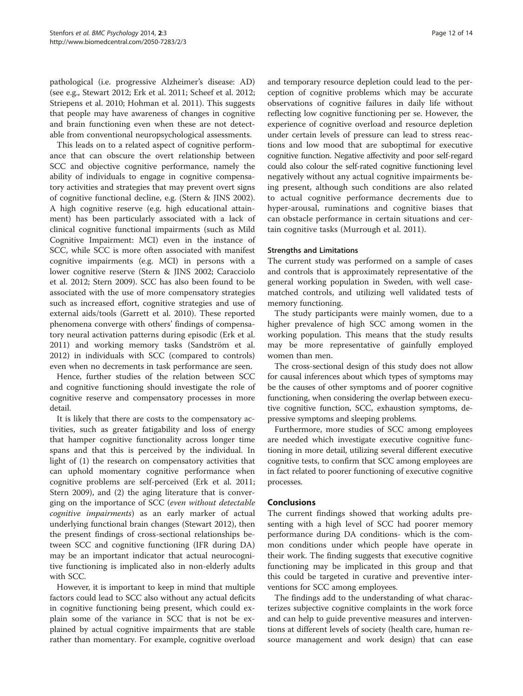pathological (i.e. progressive Alzheimer's disease: AD) (see e.g., Stewart [2012](#page-13-0); Erk et al. [2011;](#page-12-0) Scheef et al. [2012](#page-13-0); Striepens et al. [2010](#page-13-0); Hohman et al. [2011](#page-12-0)). This suggests that people may have awareness of changes in cognitive and brain functioning even when these are not detectable from conventional neuropsychological assessments.

This leads on to a related aspect of cognitive performance that can obscure the overt relationship between SCC and objective cognitive performance, namely the ability of individuals to engage in cognitive compensatory activities and strategies that may prevent overt signs of cognitive functional decline, e.g. (Stern & JINS [2002](#page-13-0)). A high cognitive reserve (e.g. high educational attainment) has been particularly associated with a lack of clinical cognitive functional impairments (such as Mild Cognitive Impairment: MCI) even in the instance of SCC, while SCC is more often associated with manifest cognitive impairments (e.g. MCI) in persons with a lower cognitive reserve (Stern & JINS [2002;](#page-13-0) Caracciolo et al. [2012](#page-12-0); Stern [2009\)](#page-13-0). SCC has also been found to be associated with the use of more compensatory strategies such as increased effort, cognitive strategies and use of external aids/tools (Garrett et al. [2010](#page-12-0)). These reported phenomena converge with others' findings of compensatory neural activation patterns during episodic (Erk et al. [2011](#page-12-0)) and working memory tasks (Sandström et al. [2012](#page-13-0)) in individuals with SCC (compared to controls) even when no decrements in task performance are seen.

Hence, further studies of the relation between SCC and cognitive functioning should investigate the role of cognitive reserve and compensatory processes in more detail.

It is likely that there are costs to the compensatory activities, such as greater fatigability and loss of energy that hamper cognitive functionality across longer time spans and that this is perceived by the individual. In light of (1) the research on compensatory activities that can uphold momentary cognitive performance when cognitive problems are self-perceived (Erk et al. [2011](#page-12-0); Stern [2009\)](#page-13-0), and (2) the aging literature that is converging on the importance of SCC (even without detectable cognitive impairments) as an early marker of actual underlying functional brain changes (Stewart [2012\)](#page-13-0), then the present findings of cross-sectional relationships between SCC and cognitive functioning (IFR during DA) may be an important indicator that actual neurocognitive functioning is implicated also in non-elderly adults with SCC.

However, it is important to keep in mind that multiple factors could lead to SCC also without any actual deficits in cognitive functioning being present, which could explain some of the variance in SCC that is not be explained by actual cognitive impairments that are stable rather than momentary. For example, cognitive overload and temporary resource depletion could lead to the perception of cognitive problems which may be accurate observations of cognitive failures in daily life without reflecting low cognitive functioning per se. However, the experience of cognitive overload and resource depletion under certain levels of pressure can lead to stress reactions and low mood that are suboptimal for executive cognitive function. Negative affectivity and poor self-regard could also colour the self-rated cognitive functioning level negatively without any actual cognitive impairments being present, although such conditions are also related to actual cognitive performance decrements due to hyper-arousal, ruminations and cognitive biases that can obstacle performance in certain situations and certain cognitive tasks (Murrough et al. [2011\)](#page-13-0).

#### Strengths and Limitations

The current study was performed on a sample of cases and controls that is approximately representative of the general working population in Sweden, with well casematched controls, and utilizing well validated tests of memory functioning.

The study participants were mainly women, due to a higher prevalence of high SCC among women in the working population. This means that the study results may be more representative of gainfully employed women than men.

The cross-sectional design of this study does not allow for causal inferences about which types of symptoms may be the causes of other symptoms and of poorer cognitive functioning, when considering the overlap between executive cognitive function, SCC, exhaustion symptoms, depressive symptoms and sleeping problems.

Furthermore, more studies of SCC among employees are needed which investigate executive cognitive functioning in more detail, utilizing several different executive cognitive tests, to confirm that SCC among employees are in fact related to poorer functioning of executive cognitive processes.

## **Conclusions**

The current findings showed that working adults presenting with a high level of SCC had poorer memory performance during DA conditions- which is the common conditions under which people have operate in their work. The finding suggests that executive cognitive functioning may be implicated in this group and that this could be targeted in curative and preventive interventions for SCC among employees.

The findings add to the understanding of what characterizes subjective cognitive complaints in the work force and can help to guide preventive measures and interventions at different levels of society (health care, human resource management and work design) that can ease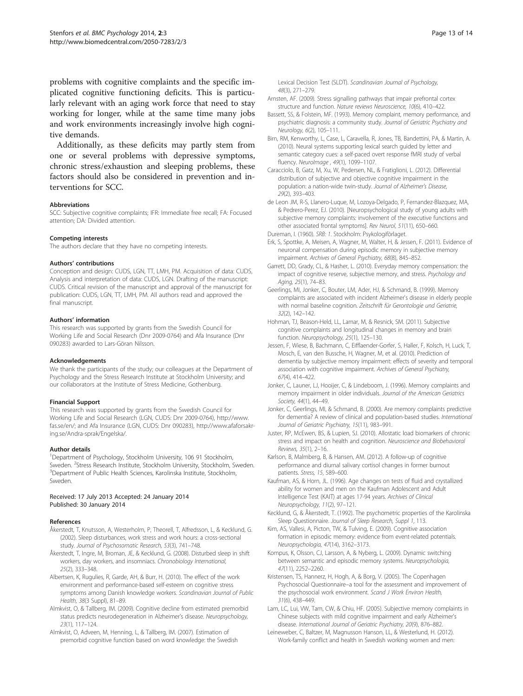<span id="page-12-0"></span>problems with cognitive complaints and the specific implicated cognitive functioning deficits. This is particularly relevant with an aging work force that need to stay working for longer, while at the same time many jobs and work environments increasingly involve high cognitive demands.

Additionally, as these deficits may partly stem from one or several problems with depressive symptoms, chronic stress/exhaustion and sleeping problems, these factors should also be considered in prevention and interventions for SCC.

#### Abbreviations

SCC: Subjective cognitive complaints; IFR: Immediate free recall; FA: Focused attention; DA: Divided attention.

#### Competing interests

The authors declare that they have no competing interests.

#### Authors' contributions

Conception and design: CUDS, LGN, TT, LMH, PM. Acquisition of data: CUDS, Analysis and interpretation of data: CUDS, LGN. Drafting of the manuscript: CUDS. Critical revision of the manuscript and approval of the manuscript for publication: CUDS, LGN, TT, LMH, PM. All authors read and approved the final manuscript.

#### Authors' information

This research was supported by grants from the Swedish Council for Working Life and Social Research (Dnr 2009-0764) and Afa Insurance (Dnr 090283) awarded to Lars-Göran Nilsson.

#### Acknowledgements

We thank the participants of the study; our colleagues at the Department of Psychology and the Stress Research Institute at Stockholm University; and our collaborators at the Institute of Stress Medicine, Gothenburg.

#### Financial Support

This research was supported by grants from the Swedish Council for Working Life and Social Research (LGN, CUDS: Dnr 2009-0764), [http://www.](http://www.fas.se/en/) [fas.se/en/](http://www.fas.se/en/); and Afa Insurance (LGN, CUDS: Dnr 090283), [http://www.afaforsakr](http://www.afaforsakring.se/Andra-sprak/Engelska/)[ing.se/Andra-sprak/Engelska/](http://www.afaforsakring.se/Andra-sprak/Engelska/).

#### Author details

<sup>1</sup>Department of Psychology, Stockholm University, 106 91 Stockholm, Sweden. <sup>2</sup>Stress Research Institute, Stockholm University, Stockholm, Sweden.<br><sup>3</sup>Dopartment of Public Hoalth Sciences, Karolinska Institute, Stockholm <sup>3</sup>Department of Public Health Sciences, Karolinska Institute, Stockholm, Sweden.

#### Received: 17 July 2013 Accepted: 24 January 2014 Published: 30 January 2014

#### References

- Åkerstedt, T, Knutsson, A, Westerholm, P, Theorell, T, Alfredsson, L, & Kecklund, G. (2002). Sleep disturbances, work stress and work hours: a cross-sectional study. Journal of Psychosomatic Research, 53(3), 741–748.
- Åkerstedt, T, Ingre, M, Broman, JE, & Kecklund, G. (2008). Disturbed sleep in shift workers, day workers, and insomniacs. Chronobiology International, 25(2), 333–348.
- Albertsen, K, Rugulies, R, Garde, AH, & Burr, H. (2010). The effect of the work environment and performance-based self-esteem on cognitive stress symptoms among Danish knowledge workers. Scandinavian Journal of Public Health, 38(3 Suppl), 81–89.
- Almkvist, O, & Tallberg, IM. (2009). Cognitive decline from estimated premorbid status predicts neurodegeneration in Alzheimer's disease. Neuropsychology, 23(1), 117–124.
- Almkvist, O, Adveen, M, Henning, L, & Tallberg, IM. (2007). Estimation of premorbid cognitive function based on word knowledge: the Swedish

Lexical Decision Test (SLDT). Scandinavian Journal of Psychology, 48(3), 271–279.

- Arnsten, AF. (2009). Stress signalling pathways that impair prefrontal cortex structure and function. Nature reviews Neuroscience, 10(6), 410–422.
- Bassett, SS, & Folstein, MF. (1993). Memory complaint, memory performance, and psychiatric diagnosis: a community study. Journal of Geriatric Psychiatry and Neurology, 6(2), 105–111.
- Birn, RM, Kenworthy, L, Case, L, Caravella, R, Jones, TB, Bandettini, PA, & Martin, A. (2010). Neural systems supporting lexical search guided by letter and semantic category cues: a self-paced overt response fMRI study of verbal fluency. NeuroImage , 49(1), 1099–1107.
- Caracciolo, B, Gatz, M, Xu, W, Pedersen, NL, & Fratiglioni, L. (2012). Differential distribution of subjective and objective cognitive impairment in the population: a nation-wide twin-study. Journal of Alzheimer's Disease, 29(2), 393–403.
- de Leon JM, R-S, Llanero-Luque, M, Lozoya-Delgado, P, Fernandez-Blazquez, MA, & Pedrero-Perez, EJ. (2010). [Neuropsychological study of young adults with subjective memory complaints: involvement of the executive functions and other associated frontal symptoms]. Rev Neurol, 51(11), 650–660.
- Dureman, I. (1960). SRB: 1. Stockholm: Psykologiförlaget.
- Erk, S, Spottke, A, Meisen, A, Wagner, M, Walter, H, & Jessen, F. (2011). Evidence of neuronal compensation during episodic memory in subjective memory impairment. Archives of General Psychiatry, 68(8), 845–852.
- Garrett, DD, Grady, CL, & Hasher, L. (2010). Everyday memory compensation: the impact of cognitive reserve, subjective memory, and stress. Psychology and Aging, 25(1), 74–83.
- Geerlings, MI, Jonker, C, Bouter, LM, Ader, HJ, & Schmand, B. (1999). Memory complaints are associated with incident Alzheimer's disease in elderly people with normal baseline cognition. Zeitschrift für Gerontologie und Geriatrie, 32(2), 142–142.
- Hohman, TJ, Beason-Held, LL, Lamar, M, & Resnick, SM. (2011). Subjective cognitive complaints and longitudinal changes in memory and brain function. Neuropsychology, 25(1), 125–130.
- Jessen, F, Wiese, B, Bachmann, C, Eifflaender-Gorfer, S, Haller, F, Kolsch, H, Luck, T, Mosch, E, van den Bussche, H, Wagner, M, et al. (2010). Prediction of dementia by subjective memory impairment: effects of severity and temporal association with cognitive impairment. Archives of General Psychiatry, 67(4), 414–422.
- Jonker, C, Launer, LJ, Hooijer, C, & Lindeboom, J. (1996). Memory complaints and memory impairment in older individuals. Journal of the American Geriatrics Society, 44(1), 44–49.
- Jonker, C, Geerlings, MI, & Schmand, B. (2000). Are memory complaints predictive for dementia? A review of clinical and population-based studies. International Journal of Geriatric Psychiatry, 15(11), 983–991.
- Juster, RP, McEwen, BS, & Lupien, SJ. (2010). Allostatic load biomarkers of chronic stress and impact on health and cognition. Neuroscience and Biobehavioral Reviews, 35(1), 2–16.
- Karlson, B, Malmberg, B, & Hansen, AM. (2012). A follow-up of cognitive performance and diurnal salivary cortisol changes in former burnout patients. Stress, 15, 589–600.
- Kaufman, AS, & Horn, JL. (1996). Age changes on tests of fluid and crystallized ability for women and men on the Kaufman Adolescent and Adult Intelligence Test (KAIT) at ages 17-94 years. Archives of Clinical Neuropsychology, 11(2), 97–121.
- Kecklund, G, & Åkerstedt, T. (1992). The psychometric properties of the Karolinska Sleep Questionnaire. Journal of Sleep Research, Suppl 1, 113.
- Kim, AS, Vallesi, A, Picton, TW, & Tulving, E. (2009). Cognitive association formation in episodic memory: evidence from event-related potentials. Neuropsychologia, 47(14), 3162–3173.
- Kompus, K, Olsson, CJ, Larsson, A, & Nyberg, L. (2009). Dynamic switching between semantic and episodic memory systems. Neuropsychologia, 47(11), 2252–2260.
- Kristensen, TS, Hannerz, H, Hogh, A, & Borg, V. (2005). The Copenhagen Psychosocial Questionnaire–a tool for the assessment and improvement of the psychosocial work environment. Scand J Work Environ Health, 31(6), 438–449.
- Lam, LC, Lui, VW, Tam, CW, & Chiu, HF. (2005). Subjective memory complaints in Chinese subjects with mild cognitive impairment and early Alzheimer's disease. International Journal of Geriatric Psychiatry, 20(9), 876–882.
- Leineweber, C, Baltzer, M, Magnusson Hanson, LL, & Westerlund, H. (2012). Work-family conflict and health in Swedish working women and men: